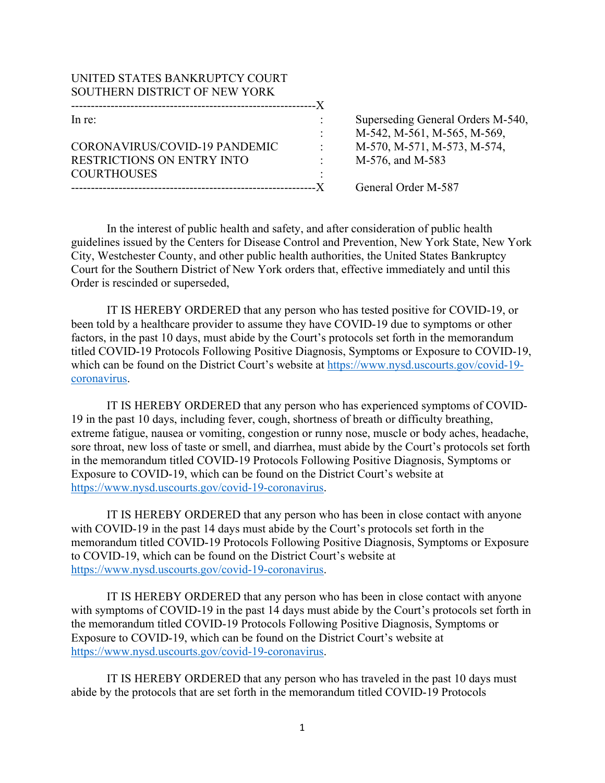| UNITED STATES BANKRUPTCY COURT       |  |
|--------------------------------------|--|
| SOUTHERN DISTRICT OF NEW YORK        |  |
| --------------------------------     |  |
| In re:                               |  |
|                                      |  |
| <b>CORONAVIRUS/COVID-19 PANDEMIC</b> |  |
| <b>RESTRICTIONS ON ENTRY INTO</b>    |  |
| <b>COURTHOUSES</b>                   |  |
|                                      |  |

: Superseding General Orders M-540, : M-542, M-561, M-565, M-569,  $M-570$ , M-571, M-573, M-574,  $M-576$ , and M-583

-X General Order M-587

In the interest of public health and safety, and after consideration of public health guidelines issued by the Centers for Disease Control and Prevention, New York State, New York City, Westchester County, and other public health authorities, the United States Bankruptcy Court for the Southern District of New York orders that, effective immediately and until this Order is rescinded or superseded,

 IT IS HEREBY ORDERED that any person who has tested positive for COVID-19, or been told by a healthcare provider to assume they have COVID-19 due to symptoms or other factors, in the past 10 days, must abide by the Court's protocols set forth in the memorandum titled COVID-19 Protocols Following Positive Diagnosis, Symptoms or Exposure to COVID-19, which can be found on the District Court's website at https://www.nysd.uscourts.gov/covid-19coronavirus.

 IT IS HEREBY ORDERED that any person who has experienced symptoms of COVID-19 in the past 10 days, including fever, cough, shortness of breath or difficulty breathing, extreme fatigue, nausea or vomiting, congestion or runny nose, muscle or body aches, headache, sore throat, new loss of taste or smell, and diarrhea, must abide by the Court's protocols set forth in the memorandum titled COVID-19 Protocols Following Positive Diagnosis, Symptoms or Exposure to COVID-19, which can be found on the District Court's website at https://www.nysd.uscourts.gov/covid-19-coronavirus.

 IT IS HEREBY ORDERED that any person who has been in close contact with anyone with COVID-19 in the past 14 days must abide by the Court's protocols set forth in the memorandum titled COVID-19 Protocols Following Positive Diagnosis, Symptoms or Exposure to COVID-19, which can be found on the District Court's website at https://www.nysd.uscourts.gov/covid-19-coronavirus.

 IT IS HEREBY ORDERED that any person who has been in close contact with anyone with symptoms of COVID-19 in the past 14 days must abide by the Court's protocols set forth in the memorandum titled COVID-19 Protocols Following Positive Diagnosis, Symptoms or Exposure to COVID-19, which can be found on the District Court's website at https://www.nysd.uscourts.gov/covid-19-coronavirus.

 IT IS HEREBY ORDERED that any person who has traveled in the past 10 days must abide by the protocols that are set forth in the memorandum titled COVID-19 Protocols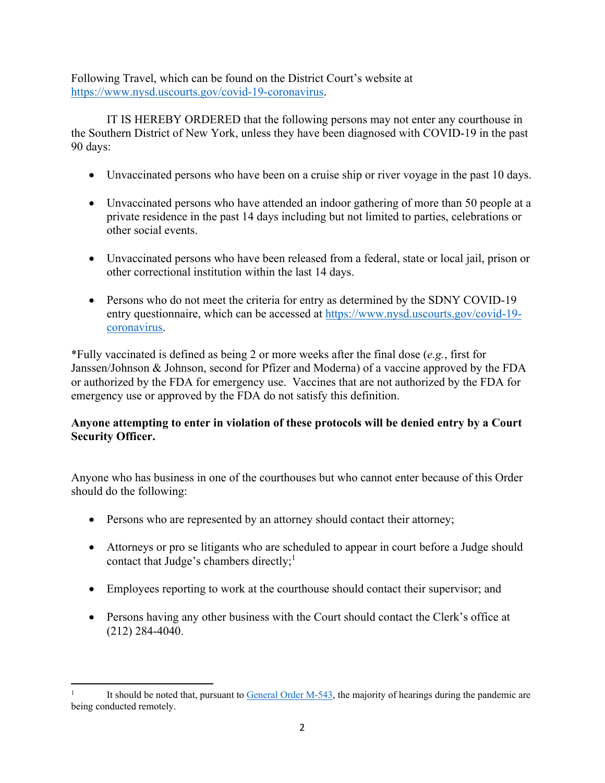Following Travel, which can be found on the District Court's website at https://www.nysd.uscourts.gov/covid-19-coronavirus.

 IT IS HEREBY ORDERED that the following persons may not enter any courthouse in the Southern District of New York, unless they have been diagnosed with COVID-19 in the past 90 days:

- Unvaccinated persons who have been on a cruise ship or river voyage in the past 10 days.
- Unvaccinated persons who have attended an indoor gathering of more than 50 people at a private residence in the past 14 days including but not limited to parties, celebrations or other social events.
- Unvaccinated persons who have been released from a federal, state or local jail, prison or other correctional institution within the last 14 days.
- Persons who do not meet the criteria for entry as determined by the SDNY COVID-19 entry questionnaire, which can be accessed at https://www.nysd.uscourts.gov/covid-19 coronavirus.

\*Fully vaccinated is defined as being 2 or more weeks after the final dose (*e.g.*, first for Janssen/Johnson & Johnson, second for Pfizer and Moderna) of a vaccine approved by the FDA or authorized by the FDA for emergency use. Vaccines that are not authorized by the FDA for emergency use or approved by the FDA do not satisfy this definition.

## **Anyone attempting to enter in violation of these protocols will be denied entry by a Court Security Officer.**

Anyone who has business in one of the courthouses but who cannot enter because of this Order should do the following:

- Persons who are represented by an attorney should contact their attorney;
- Attorneys or pro se litigants who are scheduled to appear in court before a Judge should contact that Judge's chambers directly; $\frac{1}{1}$
- Employees reporting to work at the courthouse should contact their supervisor; and
- Persons having any other business with the Court should contact the Clerk's office at (212) 284-4040.

<sup>1</sup> It should be noted that, pursuant to General Order M-543, the majority of hearings during the pandemic are being conducted remotely.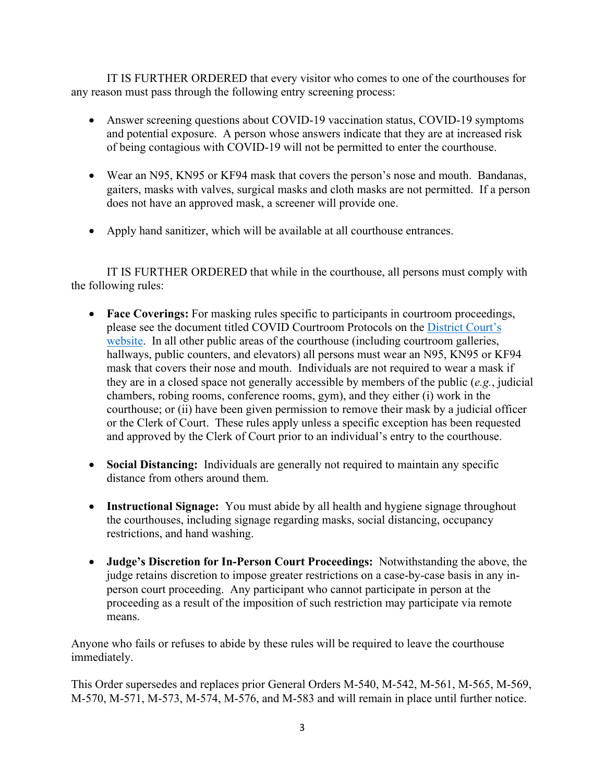IT IS FURTHER ORDERED that every visitor who comes to one of the courthouses for any reason must pass through the following entry screening process:

- Answer screening questions about COVID-19 vaccination status, COVID-19 symptoms and potential exposure. A person whose answers indicate that they are at increased risk of being contagious with COVID-19 will not be permitted to enter the courthouse.
- Wear an N95, KN95 or KF94 mask that covers the person's nose and mouth. Bandanas, gaiters, masks with valves, surgical masks and cloth masks are not permitted. If a person does not have an approved mask, a screener will provide one.
- Apply hand sanitizer, which will be available at all courthouse entrances.

 IT IS FURTHER ORDERED that while in the courthouse, all persons must comply with the following rules:

- **Face Coverings:** For masking rules specific to participants in courtroom proceedings, please see the document titled COVID Courtroom Protocols on the District Court's website. In all other public areas of the courthouse (including courtroom galleries, hallways, public counters, and elevators) all persons must wear an N95, KN95 or KF94 mask that covers their nose and mouth. Individuals are not required to wear a mask if they are in a closed space not generally accessible by members of the public (*e.g.*, judicial chambers, robing rooms, conference rooms, gym), and they either (i) work in the courthouse; or (ii) have been given permission to remove their mask by a judicial officer or the Clerk of Court. These rules apply unless a specific exception has been requested and approved by the Clerk of Court prior to an individual's entry to the courthouse.
- **Social Distancing:** Individuals are generally not required to maintain any specific distance from others around them.
- **Instructional Signage:** You must abide by all health and hygiene signage throughout the courthouses, including signage regarding masks, social distancing, occupancy restrictions, and hand washing.
- **Judge's Discretion for In-Person Court Proceedings:** Notwithstanding the above, the judge retains discretion to impose greater restrictions on a case-by-case basis in any inperson court proceeding. Any participant who cannot participate in person at the proceeding as a result of the imposition of such restriction may participate via remote means.

Anyone who fails or refuses to abide by these rules will be required to leave the courthouse immediately.

This Order supersedes and replaces prior General Orders M-540, M-542, M-561, M-565, M-569, M-570, M-571, M-573, M-574, M-576, and M-583 and will remain in place until further notice.